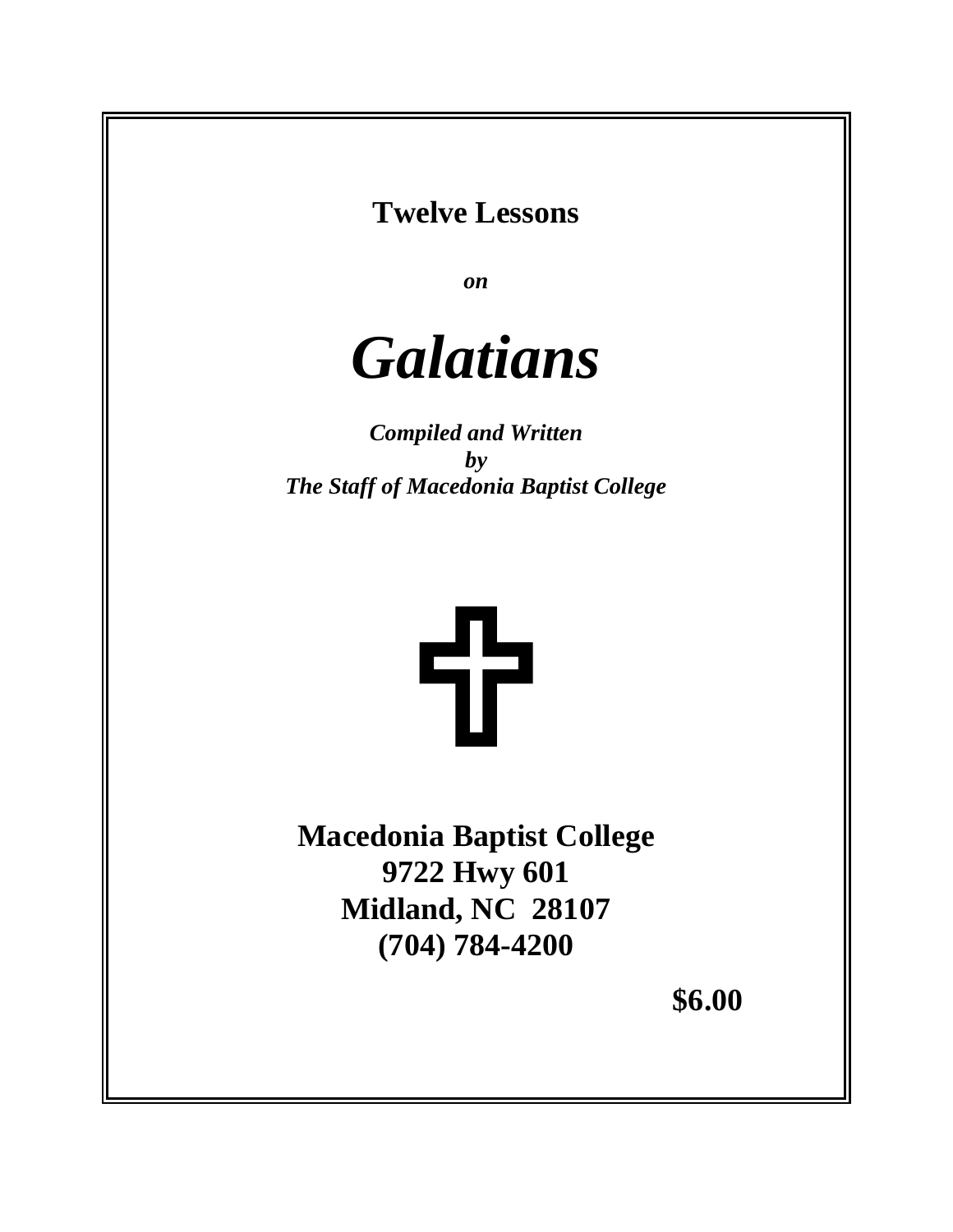# **Twelve Lessons**

*on*



*Compiled and Written by The Staff of Macedonia Baptist College*



**Macedonia Baptist College 9722 Hwy 601 Midland, NC 28107 (704) 784-4200**

 **\$6.00**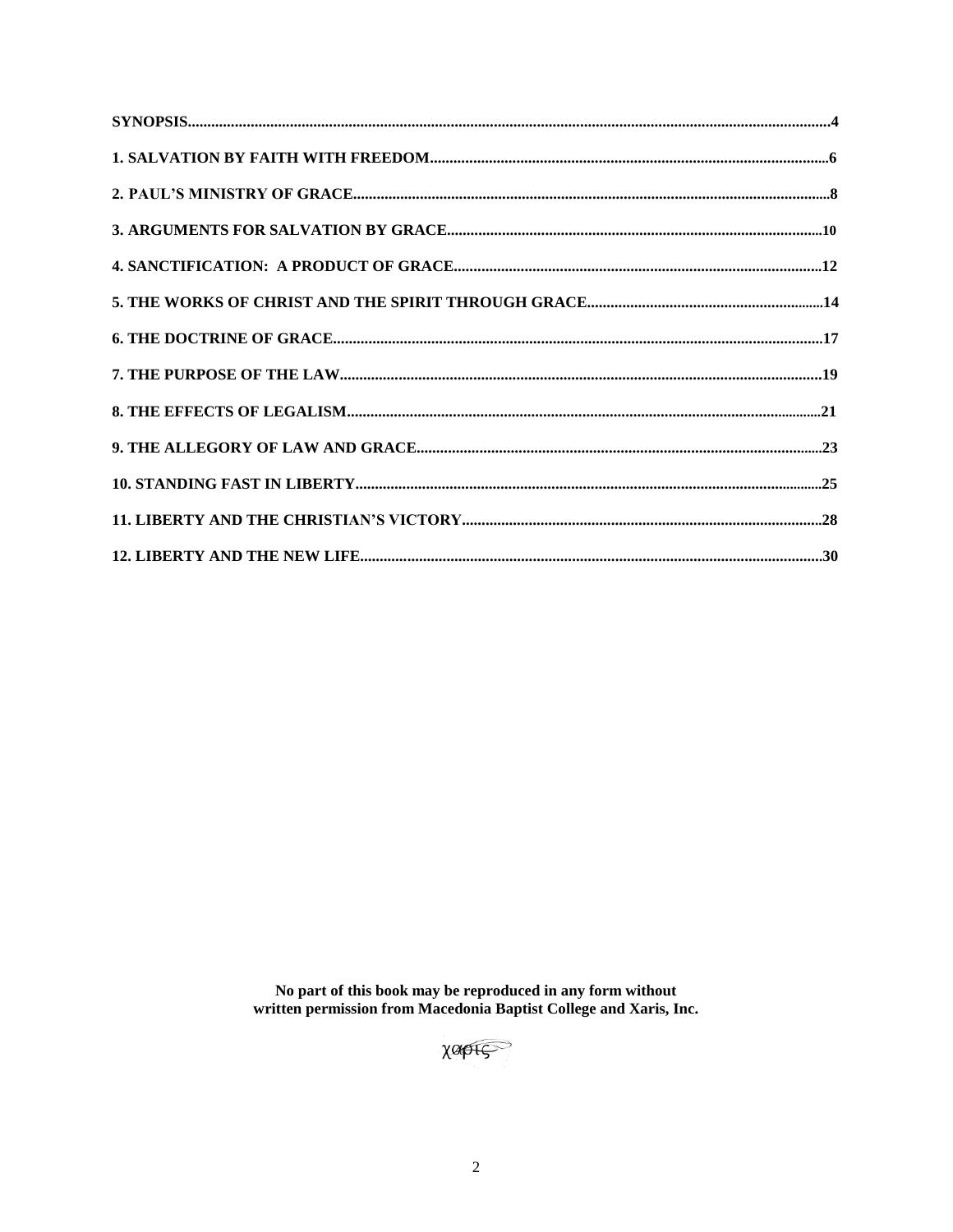No part of this book may be reproduced in any form without<br>written permission from Macedonia Baptist College and Xaris, Inc.

XOPIS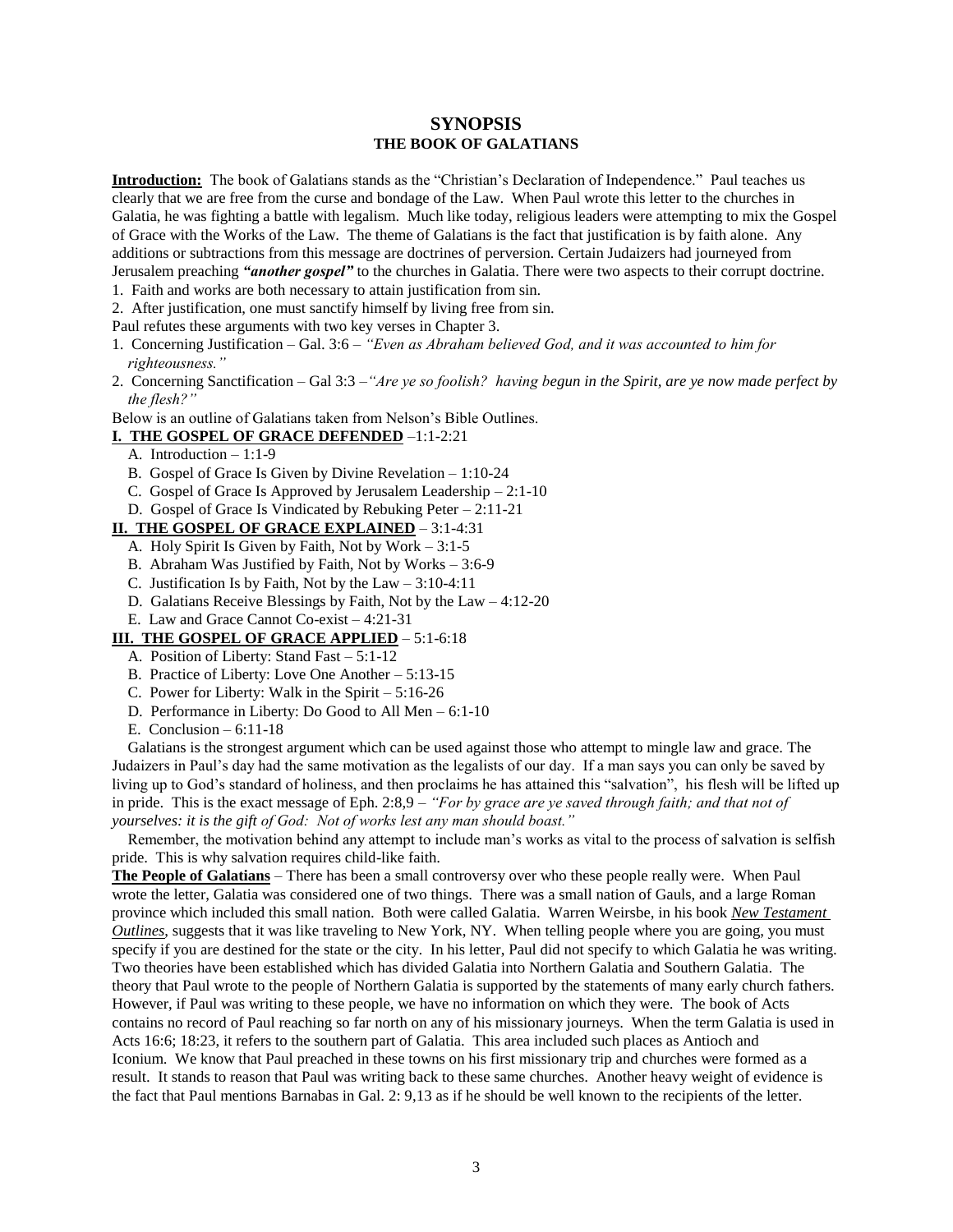# **SYNOPSIS THE BOOK OF GALATIANS**

**Introduction:** The book of Galatians stands as the "Christian's Declaration of Independence." Paul teaches us clearly that we are free from the curse and bondage of the Law. When Paul wrote this letter to the churches in Galatia, he was fighting a battle with legalism. Much like today, religious leaders were attempting to mix the Gospel of Grace with the Works of the Law. The theme of Galatians is the fact that justification is by faith alone. Any additions or subtractions from this message are doctrines of perversion. Certain Judaizers had journeyed from Jerusalem preaching *"another gospel"* to the churches in Galatia. There were two aspects to their corrupt doctrine.

- 1. Faith and works are both necessary to attain justification from sin.
- 2. After justification, one must sanctify himself by living free from sin.

Paul refutes these arguments with two key verses in Chapter 3.

- 1. Concerning Justification Gal. 3:6 *"Even as Abraham believed God, and it was accounted to him for righteousness."*
- 2. Concerning Sanctification Gal 3:3 –*"Are ye so foolish? having begun in the Spirit, are ye now made perfect by the flesh?"*

Below is an outline of Galatians taken from Nelson's Bible Outlines.

### **I. THE GOSPEL OF GRACE DEFENDED** –1:1-2:21

- A. Introduction 1:1-9
- B. Gospel of Grace Is Given by Divine Revelation 1:10-24
- C. Gospel of Grace Is Approved by Jerusalem Leadership 2:1-10
- D. Gospel of Grace Is Vindicated by Rebuking Peter 2:11-21

#### **II. THE GOSPEL OF GRACE EXPLAINED** – 3:1-4:31

- A. Holy Spirit Is Given by Faith, Not by Work 3:1-5
- B. Abraham Was Justified by Faith, Not by Works 3:6-9
- C. Justification Is by Faith, Not by the  $Law 3:10-4:11$
- D. Galatians Receive Blessings by Faith, Not by the Law 4:12-20
- E. Law and Grace Cannot Co-exist 4:21-31
- **III. THE GOSPEL OF GRACE APPLIED** 5:1-6:18
	- A. Position of Liberty: Stand Fast 5:1-12
	- B. Practice of Liberty: Love One Another 5:13-15
	- C. Power for Liberty: Walk in the Spirit 5:16-26
	- D. Performance in Liberty: Do Good to All Men 6:1-10
	- E. Conclusion 6:11-18

 Galatians is the strongest argument which can be used against those who attempt to mingle law and grace. The Judaizers in Paul's day had the same motivation as the legalists of our day. If a man says you can only be saved by living up to God's standard of holiness, and then proclaims he has attained this "salvation", his flesh will be lifted up in pride. This is the exact message of Eph. 2:8,9 – *"For by grace are ye saved through faith; and that not of yourselves: it is the gift of God: Not of works lest any man should boast."*

 Remember, the motivation behind any attempt to include man's works as vital to the process of salvation is selfish pride. This is why salvation requires child-like faith.

**The People of Galatians** – There has been a small controversy over who these people really were. When Paul wrote the letter, Galatia was considered one of two things. There was a small nation of Gauls, and a large Roman province which included this small nation. Both were called Galatia. Warren Weirsbe, in his book *New Testament Outlines*, suggests that it was like traveling to New York, NY. When telling people where you are going, you must specify if you are destined for the state or the city. In his letter, Paul did not specify to which Galatia he was writing. Two theories have been established which has divided Galatia into Northern Galatia and Southern Galatia. The theory that Paul wrote to the people of Northern Galatia is supported by the statements of many early church fathers. However, if Paul was writing to these people, we have no information on which they were. The book of Acts contains no record of Paul reaching so far north on any of his missionary journeys. When the term Galatia is used in Acts 16:6; 18:23, it refers to the southern part of Galatia. This area included such places as Antioch and Iconium. We know that Paul preached in these towns on his first missionary trip and churches were formed as a result. It stands to reason that Paul was writing back to these same churches. Another heavy weight of evidence is the fact that Paul mentions Barnabas in Gal. 2: 9,13 as if he should be well known to the recipients of the letter.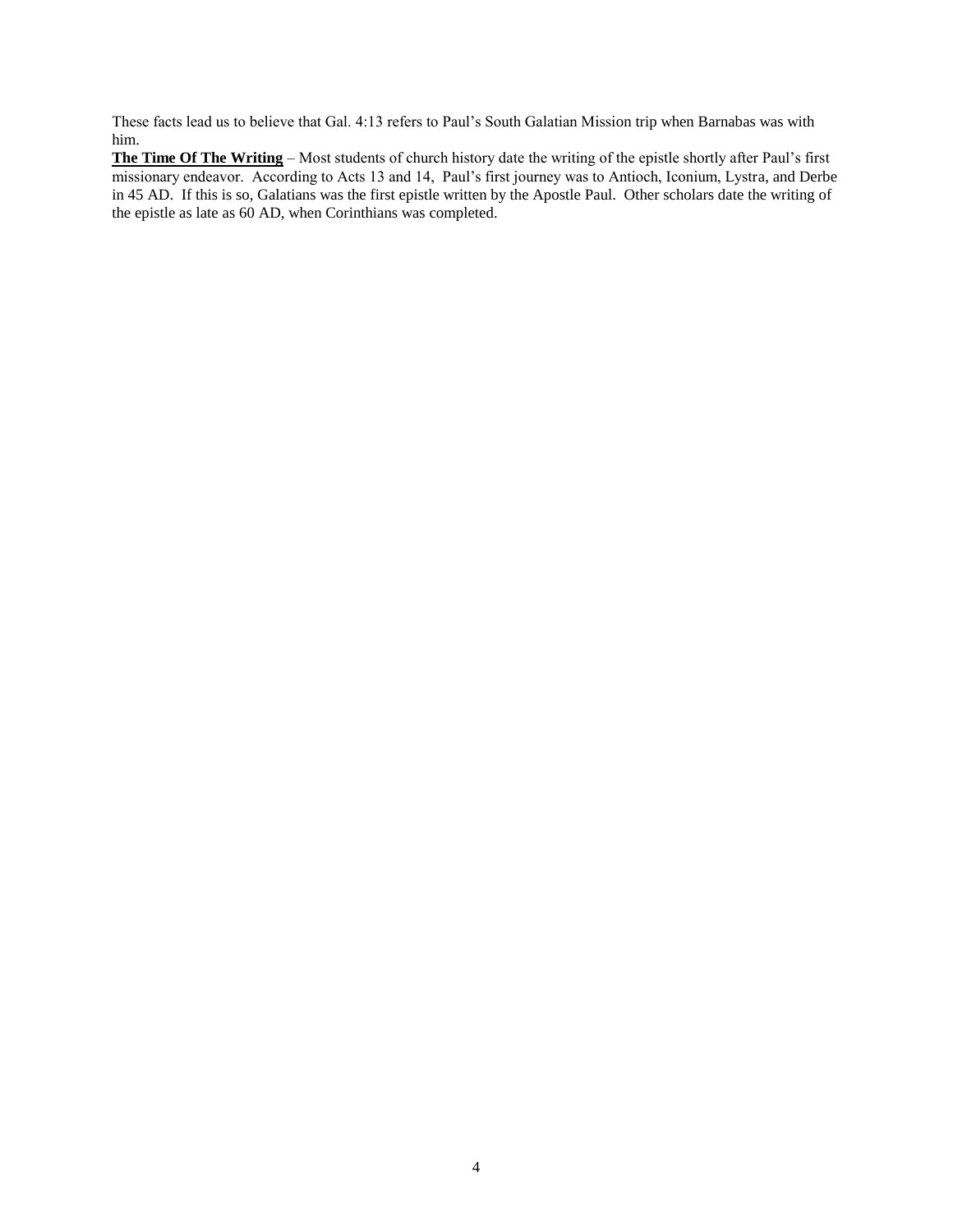These facts lead us to believe that Gal. 4:13 refers to Paul's South Galatian Mission trip when Barnabas was with him.

**The Time Of The Writing** – Most students of church history date the writing of the epistle shortly after Paul's first missionary endeavor. According to Acts 13 and 14, Paul's first journey was to Antioch, Iconium, Lystra, and Derbe in 45 AD. If this is so, Galatians was the first epistle written by the Apostle Paul. Other scholars date the writing of the epistle as late as 60 AD, when Corinthians was completed.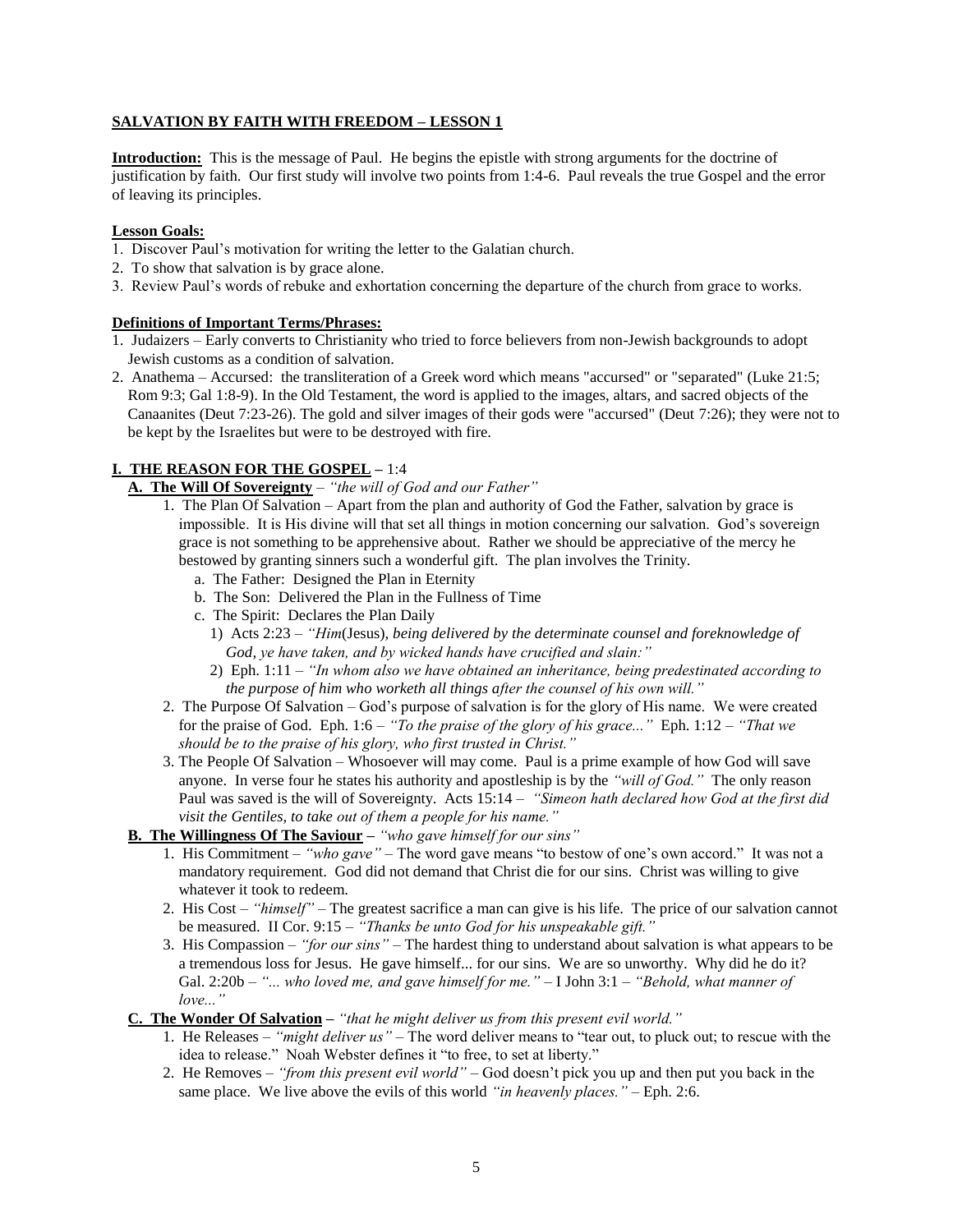# **SALVATION BY FAITH WITH FREEDOM – LESSON 1**

**Introduction:** This is the message of Paul. He begins the epistle with strong arguments for the doctrine of justification by faith. Our first study will involve two points from 1:4-6. Paul reveals the true Gospel and the error of leaving its principles.

## **Lesson Goals:**

- 1. Discover Paul's motivation for writing the letter to the Galatian church.
- 2. To show that salvation is by grace alone.
- 3. Review Paul's words of rebuke and exhortation concerning the departure of the church from grace to works.

#### **Definitions of Important Terms/Phrases:**

- 1. Judaizers Early converts to Christianity who tried to force believers from non-Jewish backgrounds to adopt Jewish customs as a condition of salvation.
- 2. Anathema Accursed: the transliteration of a Greek word which means "accursed" or "separated" (Luke 21:5; Rom 9:3; Gal 1:8-9). In the Old Testament, the word is applied to the images, altars, and sacred objects of the Canaanites (Deut 7:23-26). The gold and silver images of their gods were "accursed" (Deut 7:26); they were not to be kept by the Israelites but were to be destroyed with fire.

# **I. THE REASON FOR THE GOSPEL –** 1:4

- **A. The Will Of Sovereignty** *"the will of God and our Father"*
	- 1. The Plan Of Salvation Apart from the plan and authority of God the Father, salvation by grace is impossible. It is His divine will that set all things in motion concerning our salvation. God's sovereign grace is not something to be apprehensive about. Rather we should be appreciative of the mercy he bestowed by granting sinners such a wonderful gift. The plan involves the Trinity.
		- a. The Father: Designed the Plan in Eternity
		- b. The Son: Delivered the Plan in the Fullness of Time
		- c. The Spirit: Declares the Plan Daily
			- 1) Acts 2:23 *"Him*(Jesus)*, being delivered by the determinate counsel and foreknowledge of God, ye have taken, and by wicked hands have crucified and slain:"*
			- 2) Eph. 1:11 *"In whom also we have obtained an inheritance, being predestinated according to the purpose of him who worketh all things after the counsel of his own will."*
	- 2. The Purpose Of Salvation God's purpose of salvation is for the glory of His name. We were created for the praise of God. Eph. 1:6 – *"To the praise of the glory of his grace..."* Eph. 1:12 – *"That we should be to the praise of his glory, who first trusted in Christ."*
	- 3. The People Of Salvation Whosoever will may come. Paul is a prime example of how God will save anyone. In verse four he states his authority and apostleship is by the *"will of God."* The only reason Paul was saved is the will of Sovereignty. Acts 15:14 – *"Simeon hath declared how God at the first did visit the Gentiles, to take out of them a people for his name."*

# **B. The Willingness Of The Saviour –** *"who gave himself for our sins"*

- 1. His Commitment *"who gave"* The word gave means "to bestow of one's own accord." It was not a mandatory requirement. God did not demand that Christ die for our sins. Christ was willing to give whatever it took to redeem.
- 2. His Cost *"himself" –* The greatest sacrifice a man can give is his life. The price of our salvation cannot be measured. II Cor. 9:15 – *"Thanks be unto God for his unspeakable gift."*
- 3. His Compassion *"for our sins"* The hardest thing to understand about salvation is what appears to be a tremendous loss for Jesus. He gave himself... for our sins. We are so unworthy. Why did he do it? Gal. 2:20b – *"... who loved me, and gave himself for me." –* I John 3:1 – *"Behold, what manner of love..."*
- **C. The Wonder Of Salvation –** *"that he might deliver us from this present evil world."*
	- 1. He Releases *"might deliver us"* The word deliver means to "tear out, to pluck out; to rescue with the idea to release." Noah Webster defines it "to free, to set at liberty."
	- 2. He Removes *"from this present evil world"* God doesn't pick you up and then put you back in the same place. We live above the evils of this world *"in heavenly places."* – Eph. 2:6.